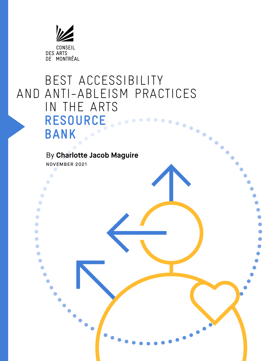

### BEST ACCESSIBILITY AND ANTI-ABLEISM PRACTICES IN THE ARTS RESOURCE ........  $\ddot{\bullet}$  $\bullet$  $\bullet$  **BANK**

## By **Charlotte Jacob Maguire**

NOVEMBER 2021

 $\bullet$  $\bullet$  $\bullet$  $\bullet$  $\bullet$ C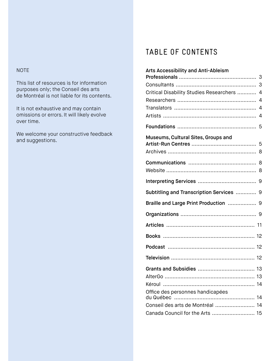#### NOTE

This list of resources is for information purposes only; the Conseil des arts de Montréal is not liable for its contents.

It is not exhaustive and may contain omissions or errors. It will likely evolve over time.

We welcome your constructive feedback and suggestions.

# TABLE OF CONTENTS

| <b>Arts Accessibility and Anti-Ableism</b>                |
|-----------------------------------------------------------|
|                                                           |
| 3                                                         |
| Critical Disability Studies Researchers<br>$\overline{4}$ |
| 4                                                         |
| 4                                                         |
| 4                                                         |
| 5                                                         |
| Museums, Cultural Sites, Groups and                       |
| 5                                                         |
| 8                                                         |
| 8                                                         |
|                                                           |
|                                                           |
|                                                           |
| Subtitling and Transcription Services  9                  |
| Braille and Large Print Production  9                     |
|                                                           |
| 11                                                        |
|                                                           |
|                                                           |
|                                                           |
|                                                           |
|                                                           |
|                                                           |
| Office des personnes handicapées<br>14                    |
| Conseil des arts de Montréal<br>14                        |
| Canada Council for the Arts  15                           |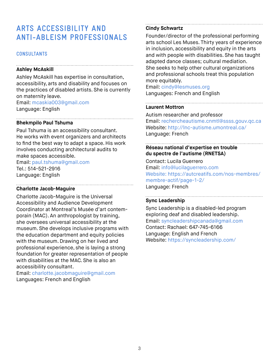## **ARTS ACCESSIBILITY AND ANTI-ABLEISM PROFESSIONALS**

#### **CONSULTANTS**

#### **Ashley McAskill**

Ashley McAskill has expertise in consultation, accessibility, arts and disability and focuses on the practices of disabled artists. She is currently on maternity leave. Email: mcaskia003@gmail.com

Language: English

#### **Bhekmpilo Paul Tshuma**

Paul Tshuma is an accessibility consultant. He works with event organizers and architects to find the best way to adapt a space. His work involves conducting architectural audits to make spaces accessible.

Email: paul.tshuma@gmail.com Tel.: 514-521-2916 Language: English

#### **Charlotte Jacob-Maguire**

Charlotte Jacob-Maguire is the Universal Accessibility and Audience Development Coordinator at Montreal's Musée d'art contemporain (MAC). An anthropologist by training, she oversees universal accessibility at the museum. She develops inclusive programs with the education department and equity policies with the museum. Drawing on her lived and professional experience, she is laying a strong foundation for greater representation of people with disabilities at the MAC. She is also an accessibility consultant.

Email: charlotte.jacobmaguire@gmail.com Languages: French and English

### **Cindy Schwartz**

Founder/director of the professional performing arts school Les Muses. Thirty years of experience in inclusion, accessibility and equity in the arts and with people with disabilities. She has taught adapted dance classes; cultural mediation. She seeks to help other cultural organizations and professional schools treat this population more equitably.

Email: cindy@lesmuses.org Languages: French and English

#### **Laurent Mottron**

Autism researcher and professor Email: rechercheautisme.cnmtl@ssss.gouv.qc.ca Website: http://lnc-autisme.umontreal.ca/ Language: French

### **Réseau national d'expertise en trouble du spectre de l'autisme (RNETSA)**

Contact: Lucila Guerrero Email: info@lucilaguerrero.com Website: https://autcreatifs.com/nos-membres/ membre-actif/page-1-2/ Language: French

#### **Sync Leadership**

Sync Leadership is a disabled-led program exploring deaf and disabled leadership. Email: syncleadershipcanada@gmail.com Contact: Rachael: 647-745-6166 Language: English and French Website: https://syncleadership.com/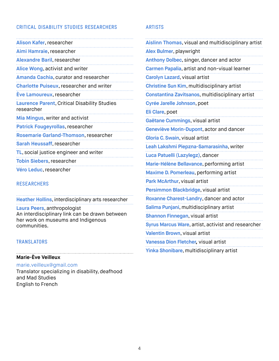#### **CRITICAL DISABILITY STUDIES RESEARCHERS**

#### **RESEARCHERS**

**Heather Hollins**, interdisciplinary arts researcher **Laura Peers**, anthropologist An interdisciplinary link can be drawn between her work on museums and Indigenous communities.

#### **TRANSLATORS**

#### **Marie-Ève Veilleux**

marie.veilleux@gmail.com Translator specializing in disability, deafhood and Mad Studies

English to French

#### **ARTISTS**

| Aislinn Thomas, visual and multidisciplinary artist |
|-----------------------------------------------------|
| Alex Bulmer, playwright                             |
| Anthony Dolbec, singer, dancer and actor            |
| Carmen Papalia, artist and non-visual learner       |
| <b>Carolyn Lazard, visual artist</b>                |
| Christine Sun Kim, multidisciplinary artist         |
| Constantina Zavitsanos, multidisciplinary artist    |
| Cyrée Jarelle Johnson, poet                         |
| Eli Clare, poet                                     |
| Gaëtane Cummings, visual artist                     |
| Geneviève Morin-Dupont, actor and dancer            |
| Gloria C. Swain, visual artist                      |
| Leah Lakshmi Piepzna-Samarasinha, writer            |
| Luca Patuelli (Lazylegz), dancer                    |
| Marie-Hélène Bellavance, performing artist          |
| Maxime D. Pomerleau, performing artist              |
| Park McArthur, visual artist                        |
| Persimmon Blackbridge, visual artist                |
| Roxanne Charest-Landry, dancer and actor            |
| Salima Punjani, multidisciplinary artist            |
| Shannon Finnegan, visual artist                     |
| Syrus Marcus Ware, artist, activist and researcher  |
| Valentin Brown, visual artist                       |
| Vanessa Dion Fletcher, visual artist                |
| Yinka Shonibare, multidisciplinary artist           |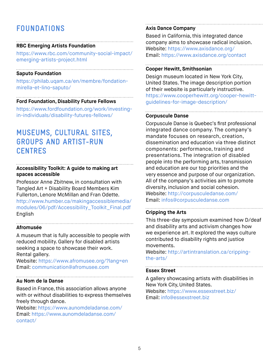## **FOUNDATIONS**

#### **RBC Emerging Artists Foundation**

https://www.rbc.com/community-social-impact/ emerging-artists-project.html

#### **Saputo Foundation**

https://philab.uqam.ca/en/membre/fondationmirella-et-lino-saputo/

### **Ford Foundation, Disability Future Fellows**

https://www.fordfoundation.org/work/investingin-individuals/disability-futures-fellows/

## **MUSEUMS, CULTURAL SITES, GROUPS AND ARTIST-RUN CENTRES**

### **Accessibility Toolkit: A guide to making art spaces accessible**

Professor Anne Zbitnew, in consultation with Tangled Art + Disability Board Members Kim Fullerton, Lenore McMillan and Fran Odette. http://www.humber.ca/makingaccessiblemedia/ modules/06/pdf/Accessibility\_Toolkit\_Final.pdf English

#### **Afromusée**

A museum that is fully accessible to people with reduced mobility. Gallery for disabled artists seeking a space to showcase their work. Rental gallery.

Website: https://www.afromusee.org/?lang=en Email: communication@afromusee.com

#### **Au Nom de la Danse**

Based in France, this association allows anyone with or without disabilities to express themselves freely through dance.

Website: https://www.aunomdeladanse.com/ Email: https://www.aunomdeladanse.com/ contact/

#### **Axis Dance Company**

Based in California, this integrated dance company aims to showcase radical inclusion. Website: https://www.axisdance.org/ Email: https://www.axisdance.org/contact

#### **Cooper Hewitt, Smithsonian**

Design museum located in New York City, United States. The image description portion of their website is particularly instructive. https://www.cooperhewitt.org/cooper-hewittguidelines-for-image-description/

#### **Corpuscule Danse**

Corpuscule Danse is Quebec's first professional integrated dance company. The company's mandate focuses on research, creation, dissemination and education via three distinct components: performance, training and presentations. The integration of disabled people into the performing arts, transmission and education are our top priorities and the very essence and purpose of our organization. All of the company's activities aim to promote diversity, inclusion and social cohesion. Website: http://corpusculedanse.com/ Email: infos@corpusculedanse.com

#### **Cripping the Arts**

This three-day symposium examined how D/deaf and disability arts and activism changes how we experience art. It explored the ways culture contributed to disability rights and justice movements.

Website: http://artintranslation.ca/crippingthe-arts/

#### **Essex Street**

A gallery showcasing artists with disabilities in New York City, United States. Website: https://www.essexstreet.biz/ Email: info@essexstreet.biz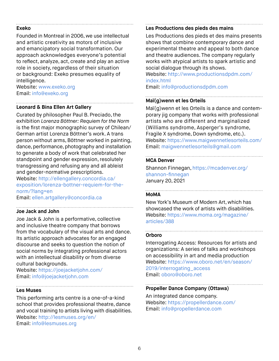#### **Exeko**

Founded in Montreal in 2006, we use intellectual and artistic creativity as motors of inclusive and emancipatory social transformation. Our approach acknowledges everyone's potential to reflect, analyze, act, create and play an active role in society, regardless of their situation or background: Exeko presumes equality of intelligence.

Website: www.exeko.org Email: info@exeko.org

#### **Leonard & Bina Ellen Art Gallery**

Curated by philosopher Paul B. Preciado, the exhibition *Lorenza Böttner: Requiem for the Norm* is the first major monographic survey of Chilean/ German artist Lorenza Böttner's work. A trans person without arms, Böttner worked in painting, dance, performance, photography and installation to generate a body of work that celebrated her standpoint and gender expression, resolutely transgressing and refusing any and all ableist and gender-normative prescriptions.

Website: http://ellengallery.concordia.ca/ exposition/lorenza-bottner-requiem-for-thenorm/?lang=en

Email: ellen.artgallery@concordia.ca

#### **Joe Jack and John**

Joe Jack & John is a performative, collective and inclusive theatre company that borrows from the vocabulary of the visual arts and dance. Its artistic approach advocates for an engaged discourse and seeks to question the notion of social norms by integrating professional actors with an intellectual disability or from diverse cultural backgrounds.

Website: https://joejacketjohn.com/ Email: info@joejacketjohn.com

#### **Les Muses**

This performing arts centre is a one-of-a-kind school that provides professional theatre, dance and vocal training to artists living with disabilities. Website: http://lesmuses.org/en/ Email: info@lesmuses.org

#### **Les Productions des pieds des mains**

Les Productions des pieds et des mains presents shows that combine contemporary dance and experimental theatre and appeal to both dance and theatre audiences. The company regularly works with atypical artists to spark artistic and social dialogue through its shows.

Website: http://www.productionsdpdm.com/ index.html

Email: info@productionsdpdm.com

#### **Maï(g)wenn et les Orteils**

Maï(g)wenn et les Orteils is a dance and contemporary jig company that works with professional artists who are different and marginalized (Williams syndrome, Asperger's syndrome, Fragile X syndrome, Down syndrome, etc.). Website: https://www.maigwennetlesorteils.com/ Email: maigwennetlesorteils@gmail.com

#### **MCA Denver**

Shannon Finnegan, https://mcadenver.org/ shannon-finnegan January 20, 2021

#### **MoMA**

New York's Museum of Modern Art, which has showcased the work of artists with disabilities. Website: https://www.moma.org/magazine/ articles/388

#### **Orboro**

Interrogating Access: Resources for artists and organizations: A series of talks and workshops on accessibility in art and media production Website: https://www.oboro.net/en/season/ 2019/interrogating\_access Email: oboro@oboro.net

### **Propeller Dance Company (Ottawa)**

An integrated dance company. Website: https://propellerdance.com/ Email: info@propellerdance.com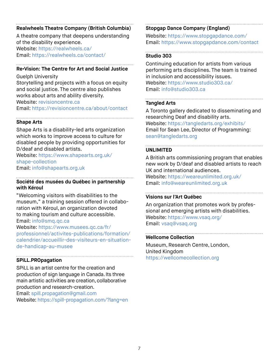#### **Realwheels Theatre Company (British Columbia)**

A theatre company that deepens understanding of the disability experience. Website: https://realwheels.ca/

Email: https://realwheels.ca/contact/

#### **Re•Vision: The Centre for Art and Social Justice**

Guelph University

Storytelling and projects with a focus on equity and social justice. The centre also publishes works about arts and ability diversity. Website: revisioncentre.ca

Email: https://revisioncentre.ca/about/contact

#### **Shape Arts**

Shape Arts is a disability-led arts organization which works to improve access to culture for disabled people by providing opportunities for D/deaf and disabled artists.

Website: https://www.shapearts.org.uk/ shape-collection

Email: info@shapearts.org.uk

#### **Société des musées du Québec in partnership with Kéroul**

"Welcoming visitors with disabilities to the museum," a training session offered in collaboration with Kéroul, an organization devoted to making tourism and culture accessible. Email: info@smq.qc.ca

Website: https://www.musees.qc.ca/fr/ professionnel/activites-publications/formation/ calendrier/accueillir-des-visiteurs-en-situationde-handicap-au-musee

#### **SPiLL.PROpagation**

SPiLL is an artist centre for the creation and production of sign language in Canada. Its three main artistic activities are creation, collaborative production and research-creation.

Email: spill.propagation@gmail.com Website: https://spill-propagation.com/?lang=en

#### **Stopgap Dance Company (England)**

Website: https://www.stopgapdance.com/ Email: https://www.stopgapdance.com/contact

#### **Studio 303**

Continuing education for artists from various performing arts disciplines. The team is trained in inclusion and accessibility issues. Website: https://www.studio303.ca/ Email: info@studio303.ca

#### . . . . . . . . . . . . . . . . . . . . **Tangled Arts**

A Toronto gallery dedicated to disseminating and researching Deaf and disability arts. Website: https://tangledarts.org/exhibits/ Email for Sean Lee, Director of Programming: sean@tangledarts.org

### **UNLIMITED**

A British arts commissioning program that enables new work by D/deaf and disabled artists to reach UK and international audiences.

Website: https://weareunlimited.org.uk/ Email: info@weareunlimited.org.uk

#### **Visions sur l'Art Québec**

An organization that promotes work by professional and emerging artists with disabilities. Website: https://www.vsaq.org/ Email: vsaq@vsaq.org

#### **Wellcome Collection**

Museum, Research Centre, London, United Kingdom https://wellcomecollection.org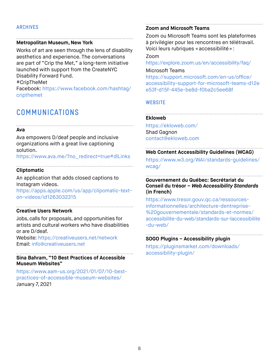#### **ARCHIVES**

#### **Metropolitan Museum, New York**

Works of art are seen through the lens of disability aesthetics and experience. The conversations are part of "Crip the Met," a long-term initiative launched with support from the CreateNYC Disability Forward Fund.

#CripTheMet

Facebook: https://www.facebook.com/hashtag/ cripthemet

### **COMMUNICATIONS**

#### **Ava**

Ava empowers D/deaf people and inclusive organizations with a great live captioning solution.

https://www.ava.me/?no\_redirect=true#dlLinks

#### **Cliptomatic**

An application that adds closed captions to Instagram videos.

https://apps.apple.com/us/app/clipomatic-texton-videos/id1263032315

#### **Creative Users Network**

Jobs, calls for proposals, and opportunities for artists and cultural workers who have disabilities or are D/deaf.

Website: https://creativeusers.net/network Email: info@creativeusers.net

#### **Sina Bahram, "10 Best Practices of Accessible Museum Websites"**

https://www.aam-us.org/2021/01/07/10-bestpractices-of-accessible-museum-websites/ January 7, 2021

#### **Zoom and Microsoft Teams**

Zoom ou Microsoft Teams sont les plateformes à privilégier pour les rencontres en télétravail. Voici leurs rubriques «accessibilité»:

#### Zoom

https://explore.zoom.us/en/accessibility/faq/

#### Microsoft Teams

https://support.microsoft.com/en-us/office/ accessibility-support-for-microsoft-teams-d12e e53f-d15f-445e-be8d-f0ba2c5ee68f

#### **WEBSITE**

#### **Ekloweb**

https://ekloweb.com/ Shad Gagnon contact@ekloweb.com

#### **Web Content Accessibility Guidelines (WCAG)**

https://www.w3.org/WAI/standards-guidelines/ wcag/

#### **Gouvernement du Québec: Secrétariat du Conseil du trésor –** *Web Accessibility Standards* **(in French)**

https://www.tresor.gouv.qc.ca/ressourcesinformationnelles/architecture-dentreprise- %20gouvernementale/standards-et-normes/ accessibilite-du-web/standards-sur-laccessibilite -du-web/

### **SOGO Plugins – Accessibility plugin**

https://pluginsmarket.com/downloads/ accessibility-plugin/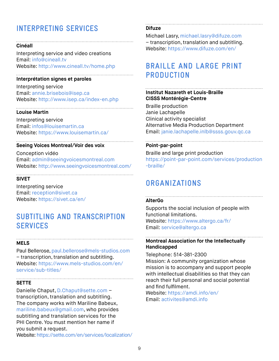# **INTERPRETING SERVICES**

#### **Cinéall**

Interpreting service and video creations Email: info@cineall.tv Website: http://www.cineall.tv/home.php

#### **Interprétation signes et paroles**

Interpreting service Email: annie.brisebois@isep.ca Website: http://www.isep.ca/index-en.php

#### **Louise Martin**

Interpreting service Email: infos@louisemartin.ca Website: https://www.louisemartin.ca/

### **Seeing Voices Montreal/Voir des voix**

Conception vidéo Email: admin@seeingvoicesmontreal.com Website: http://www.seeingvoicesmontreal.com/

### **SIVET**

Interpreting service Email: reception@sivet.ca Website: https://sivet.ca/en/

### **SUBTITLING AND TRANSCRIPTION SERVICES**

#### **MELS**

Paul Bellerose, paul.bellerose@mels-studios.com – transcription, translation and subtitling. Website: https://www.mels-studios.com/en/ service/sub-titles/

#### **SETTE**

Danielle Chaput, D.Chaput@sette.com – transcription, translation and subtitling. The company works with Mariline Babeux, mariline.babeux@gmail.com, who provides subtitling and translation services for the PHI Centre. You must mention her name if you submit a request.

Website: https://sette.com/en/services/localization/

#### **Difuze**

Michael Lasry, michael.lasry@difuze.com – transcription, translation and subtitling. Website: https://www.difuze.com/en/

## **BRAILLE AND LARGE PRINT PRODUCTION**

#### **Institut Nazareth et Louis-Braille CISSS Montérégie-Centre**

Braille production Janie Lachapelle Clinical activity specialist Alternative Media Production Department Email: janie.lachapelle.inlb@ssss.gouv.qc.ca

#### **Point-par-point**

Braille and large print production https://point-par-point.com/services/production -braille/

## **ORGANIZATIONS**

#### **AlterGo**

Supports the social inclusion of people with functional limitations. Website: https://www.altergo.ca/fr/ Email: service@altergo.ca

### **Montreal Association for the Intellectually Handicapped**

Telephone: 514-381-2300 Mission: A community organization whose mission is to accompany and support people with intellectual disabilities so that they can reach their full personal and social potential and find fulfilment.

Website: https://amdi.info/en/ Email: activites@amdi.info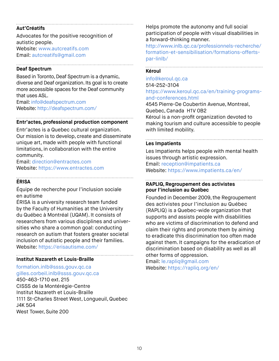#### **Aut'Créatifs**

Advocates for the positive recognition of autistic people. Website: www.autcreatifs.com

Email: autcreatifs@gmail.com

#### **Deaf Spectrum**

Based in Toronto, Deaf Spectrum is a dynamic, diverse and Deaf organization. Its goal is to create more accessible spaces for the Deaf community that uses ASL.

Email: info@deafspectrum.com Website: http://deafspectrum.com/

#### **Entr'actes, professional production component**

Entr'actes is a Quebec cultural organization. Our mission is to develop, create and disseminate unique art, made with people with functional limitations, in collaboration with the entire community.

Email: direction@entractes.com Website: https://www.entractes.com

#### **ÉRISA**

Équipe de recherche pour l'inclusion sociale en autisme

ÉRISA is a university research team funded by the Faculty of Humanities at the University du Québec à Montréal (UQAM). It consists of researchers from various disciplines and universities who share a common goal: conducting research on autism that fosters greater societal inclusion of autistic people and their families. Website: https://erisautisme.com/

#### **Institut Nazareth et Louis-Braille**

#### formation.inlb@ssss.gouv.qc.ca gilles.corbeil.inlb@ssss.gouv.qc.ca

450-463-1710 ext. 215 CISSS de la Montérégie-Centre Institut Nazareth et Louis-Braille 1111 St-Charles Street West, Longueuil, Quebec J4K 5G4 West Tower, Suite 200

Helps promote the autonomy and full social participation of people with visual disabilities in a forward-thinking manner.

http://www.inlb.qc.ca/professionnels-recherche/ formation-et-sensibilisation/formations-offertspar-linlb/

#### **Kéroul**

#### info@keroul.qc.ca 514-252-3104 https://www.keroul.qc.ca/en/training-programsand-conferences.html

4545 Pierre-De Coubertin Avenue, Montreal, Quebec, Canada H1V 0B2 Kéroul is a non-profit organization devoted to making tourism and culture accessible to people with limited mobility.

#### **Les Impatients**

Les Impatients helps people with mental health issues through artistic expression. Email: reception@impatients.ca Website: https://www.impatients.ca/en/

#### **RAPLIQ, Regroupement des activistes pour l'inclusion au Québec**

Founded in December 2009, the Regroupement des activistes pour l'inclusion au Québec (RAPLIQ) is a Quebec-wide organization that supports and assists people with disabilities who are victims of discrimination to defend and claim their rights and promote them by aiming to eradicate this discrimination too often made against them. It campaigns for the eradication of discrimination based on disability as well as all other forms of oppression.

Email: le.rapliq@gmail.com Website: https://rapliq.org/en/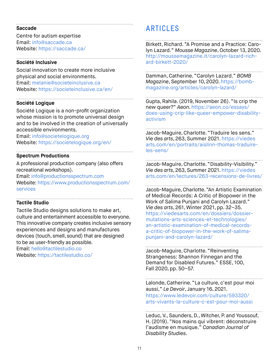#### **Saccade**

Centre for autism expertise Email: info@saccade.ca Website: https://saccade.ca/

#### **Société Inclusive**

Social innovation to create more inclusive physical and social environments. Email: melanie@societeinclusive.ca Website: https://societeinclusive.ca/en/

#### **Société Logique**

Société Logique is a non-profit organization whose mission is to promote universal design and to be involved in the creation of universally accessible environments.

Email: info@societelogique.org Website: https://societelogique.org/en/

#### **Spectrum Productions**

A professional production company (also offers recreational workshops).

Email: info@productionsspectrum.com Website: https://www.productionsspectrum.com/ services

#### **Tactile Studio**

Tactile Studio designs solutions to make art, culture and entertainment accessible to everyone. This innovative company creates inclusive sensory experiences and designs and manufactures devices (touch, smell, sound) that are designed to be as user-friendly as possible.

Email: hello@tactilestudio.co Website: https://tactilestudio.co/

## **ARTICLES**

Birkett, Richard. "A Promise and a Practice: Carolyn Lazard." *Mousse Magazine*, October 13, 2020. http://moussemagazine.it/carolyn-lazard-richard-birkett-2020/

Damman, Catherine. "Carolyn Lazard." *BOMB Magazine*, September 10, 2020. https://bombmagazine.org/articles/carolyn-lazard/

Gupta, Rahila. (2019, November 26). "Is crip the new queer?" *Aeon*. https://aeon.co/essays/ does-using-crip-like-queer-empower-disabilityactivism

Jacob-Maguire, Charlotte. "Traduire les sens." *Vie des arts*, 263, Summer 2021. https://viedes arts.com/en/portraits/aislinn-thomas-traduireles-sens/

Jacob-Maguire, Charlotte. "Disability-Visibility." *Vie des arts*, 263, Summer 2021. https://viedes arts.com/en/lectures/263-recensions-de-livres/

Jacob-Maguire, Charlotte. "An Artistic Examination of Medical Records: A Critic of Biopower in the Work of Salima Punjani and Carolyn Lazard." *Vie des arts*, 261, Winter 2021, pp. 32–35. https://viedesarts.com/en/dossiers/dossiermutations-arts-sciences-et-technologies/ an-artistic-examination-of-medical-recordsa-critic-of-biopower-in-the-work-of-salimapunjani-and-carolyn-lazard/

Jacob-Maguire, Charlotte. "Reinventing Strangeness: Shannon Finnegan and the Demand for Disabled Futures." ESSE, 100, Fall 2020, pp. 50–57.

Lalonde, Catherine. "La culture, c'est pour moi aussi," *Le Devoir*, January 16, 2021. https://www.ledevoir.com/culture/593320/

arts-vivants-la-culture-c-est-pour-moi-aussi

Leduc, V., Saunders, D., Witcher, P. and Youssouf, H. (2019). "Nos mains qui vibrent: déconstruire l'audisme en musique." *Canadian Journal of Disability Studies*.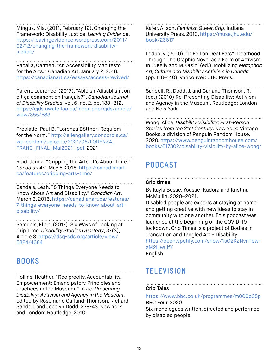Mingus, Mia. (2011, February 12). Changing the Framework: Disability Justice. *Leaving Evidence*. https://leavingevidence.wordpress.com/2011/ 02/12/changing-the-framework-disabilityjustice/

Papalia, Carmen. "An Accessibility Manifesto for the Arts." Canadian Art, January 2, 2018. https://canadianart.ca/essays/access-revived/

Parent, Laurence. (2017). "Ableism/disablism, on dit ça comment en français?", *Canadian Journal of Disability Studies*, vol. 6, no. 2, pp. 183–212. https://cjds.uwaterloo.ca/index.php/cjds/article/ view/355/583

Preciado, Paul B. "Lorenza Böttner: Requiem for the Norm." http://ellengallery.concordia.ca/ wp-content/uploads/2021/05/LORENZA\_ FRANC\_FINAL\_Mai2021-.pdf, 2021

Reid, Jenna. "Cripping the Arts: It's About Time." *Canadian Art*, May 5, 2016. https://canadianart. ca/features/cripping-arts-time/

Sandals, Leah. "8 Things Everyone Needs to Know About Art and Disability." *Canadian Art*, March 3, 2016. https://canadianart.ca/features/ 7-things-everyone-needs-to-know-about-artdisability/

Samuels, Ellen. (2017). Six Ways of Looking at Crip Time. *Disability Studies Quarterly*, 37(3), Article 3. https://dsq-sds.org/article/view/ 5824/4684

## **BOOKS**

Hollins, Heather. "Reciprocity, Accountability, Empowerment: Emancipatory Principles and Practices in the Museum." In *Re-Presenting Disability: Activism and Agency in the Museum*, edited by Rosemarie Garland-Thomson, Richard Sandell, and Jocelyn Dodd, 228-43. New York and London: Routledge, 2010.

Kafer, Alison. *Feminist, Queer, Crip*. Indiana University Press, 2013. https://muse.jhu.edu/ book/23617

Leduc, V. (2016). "It Fell on Deaf Ears": Deafhood Through The Graphic Novel as a Form of Artivism. In C. Kelly and M. Orsini (ed.). Mobilizing *Metaphor: Art, Culture and Disability Activism in Canada* (pp. 118–140). Vancouver: UBC Press.

Sandell, R., Dodd, J. and Garland Thomson, R. (ed.) (2010) Re-Presenting Disability: Activism and Agency in the Museum, Routledge: London and New York.

Wong, Alice. *Disability Visibility: First-Person Stories from the 21st Century*. New York: Vintage Books, a division of Penguin Random House, 2020. https://www.penguinrandomhouse.com/ books/617802/disability-visibility-by-alice-wong/

# **PODCAST**

### **Crip times**

By Kayla Besse, Youssef Kadora and Kristina McMullin, 2020–2021.

Disabled people are experts at staying at home and getting creative with new ideas to stay in community with one another. This podcast was launched at the beginning of the COVID-19 lockdown. Crip Times is a project of Bodies in Translation and Tangled Art + Disability. https://open.spotify.com/show/1sO2KZNvnTbwzM2LlwulfY English

**TELEVISION**

### **Crip Tales**

https://www.bbc.co.uk/programmes/m000p35p BBC Four, 2020 Six monologues written, directed and performed by disabled people.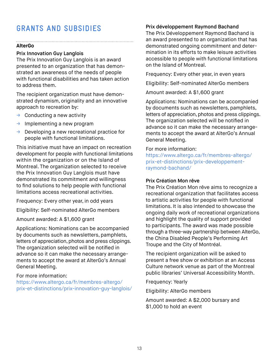# **GRANTS AND SUBSIDIES**

#### **AlterGo**

#### Prix Innovation Guy Langlois

The Prix Innovation Guy Langlois is an award presented to an organization that has demonstrated an awareness of the needs of people with functional disabilities and has taken action to address them.

The recipient organization must have demonstrated dynamism, originality and an innovative approach to recreation by:

- $\rightarrow$  Conducting a new activity
- $\rightarrow$  Implementing a new program
- $\rightarrow$  Developing a new recreational practice for people with functional limitations.

This initiative must have an impact on recreation development for people with functional limitations within the organization or on the Island of Montreal. The organization selected to receive the Prix Innovation Guy Langlois must have demonstrated its commitment and willingness to find solutions to help people with functional limitations access recreational activities.

Frequency: Every other year, in odd years

Eligibility: Self-nominated AlterGo members

Amount awarded: A \$1,600 grant

Applications: Nominations can be accompanied by documents such as newsletters, pamphlets, letters of appreciation, photos and press clippings. The organization selected will be notified in advance so it can make the necessary arrangements to accept the award at AlterGo's Annual General Meeting.

#### For more information:

https://www.altergo.ca/fr/membres-altergo/ prix-et-distinctions/prix-innovation-guy-langlois/

#### Prix développement Raymond Bachand

The Prix Développement Raymond Bachand is an award presented to an organization that has demonstrated ongoing commitment and determination in its efforts to make leisure activities accessible to people with functional limitations on the Island of Montreal.

Frequency: Every other year, in even years

Eligibility: Self-nominated AlterGo members

Amount awarded: A \$1,600 grant

Applications: Nominations can be accompanied by documents such as newsletters, pamphlets, letters of appreciation, photos and press clippings. The organization selected will be notified in advance so it can make the necessary arrangements to accept the award at AlterGo's Annual General Meeting.

#### For more information:

https://www.altergo.ca/fr/membres-altergo/ prix-et-distinctions/prix-developpementraymond-bachand/

#### Prix Création Mon rêve

The Prix Création Mon rêve aims to recognize a recreational organization that facilitates access to artistic activities for people with functional limitations. It is also intended to showcase the ongoing daily work of recreational organizations and highlight the quality of support provided to participants. The award was made possible through a three-way partnership between AlterGo, the China Disabled People's Performing Art Troupe and the City of Montréal.

The recipient organization will be asked to present a free show or exhibition at an Access Culture network venue as part of the Montreal public libraries' Universal Accessibility Month.

Frequency: Yearly

Eligibility: AlterGo members

Amount awarded: A \$2,000 bursary and \$1,000 to hold an event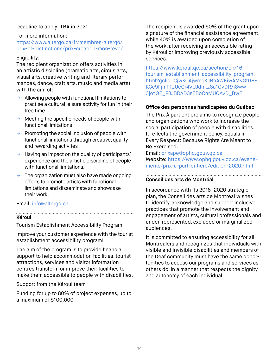### Deadline to apply: TBA in 2021

#### For more information:

https://www.altergo.ca/fr/membres-altergo/ prix-et-distinctions/prix-creation-mon-reve/

#### Eligibility:

The recipient organization offers activities in an artistic discipline (dramatic arts, circus arts, visual arts, creative writing and literary performances, dance, craft arts, music and media arts) with the aim of:

- $\rightarrow$  Allowing people with functional limitations to practise a cultural leisure activity for fun in their free time
- $\rightarrow$  Meeting the specific needs of people with functional limitations
- $\rightarrow$  Promoting the social inclusion of people with functional limitations through creative, quality and rewarding activites
- $\rightarrow$  Having an impact on the quality of participants' experience and the artistic discipline of people with functional limitations.
- $\rightarrow$  The organization must also have made ongoing efforts to promote artists with functional limitations and disseminate and showcase their work.

#### Email: info@altergo.ca

#### **Kéroul**

Tourism Establishment Accessibility Program

Improve your customer experience with the tourist establishment accessibility program!

The aim of the program is to provide financial support to help accommodation facilities, tourist attractions, services and visitor information centres transform or improve their facilities to make them accessible to people with disabilities.

Support from the Kéroul team

Funding for up to 80% of project expenses, up to a maximum of \$100,000

The recipient is awarded 60% of the grant upon signature of the financial assistance agreement, while 40% is awarded upon completion of the work, after receiving an accessible rating by Kéroul or improving previously accessible services.

https://www.keroul.qc.ca/section/en/16 tourism-establishment-accessibility-program. html?gclid=CjwKCAjwmqKJBhAWEiwAMvGt6H-KCc9FjmTTzUeGr4VUJdhkzSa1CvDR7jSww-3joYQE\_F8JBDAD3sEBoCnMUQAvD\_BwE

### **Office des personnes handicapées du Québec**

The Prix À part entière aims to recognize people and organizations who work to increase the social participation of people with disabilities. It reflects the government policy, Equals in Every Respect: Because Rights Are Meant to Be Exercised.

Email: prixape@ophq.gouv.qc.ca Website: https://www.ophq.gouv.qc.ca/evenements/prix-a-part-entiere/edition-2020.html

### **Conseil des arts de Montréal**

In accordance with its 2018–2020 strategic plan, the Conseil des arts de Montréal wishes to identify, acknowledge and support inclusive practices that promote the involvement and engagement of artists, cultural professionals and under-represented, excluded or marginalized audiences.

It is committed to ensuring accessibility for all Montrealers and recognizes that individuals with visible and invisible disabilities and members of the Deaf community must have the same opportunities to access our programs and services as others do, in a manner that respects the dignity and autonomy of each individual.